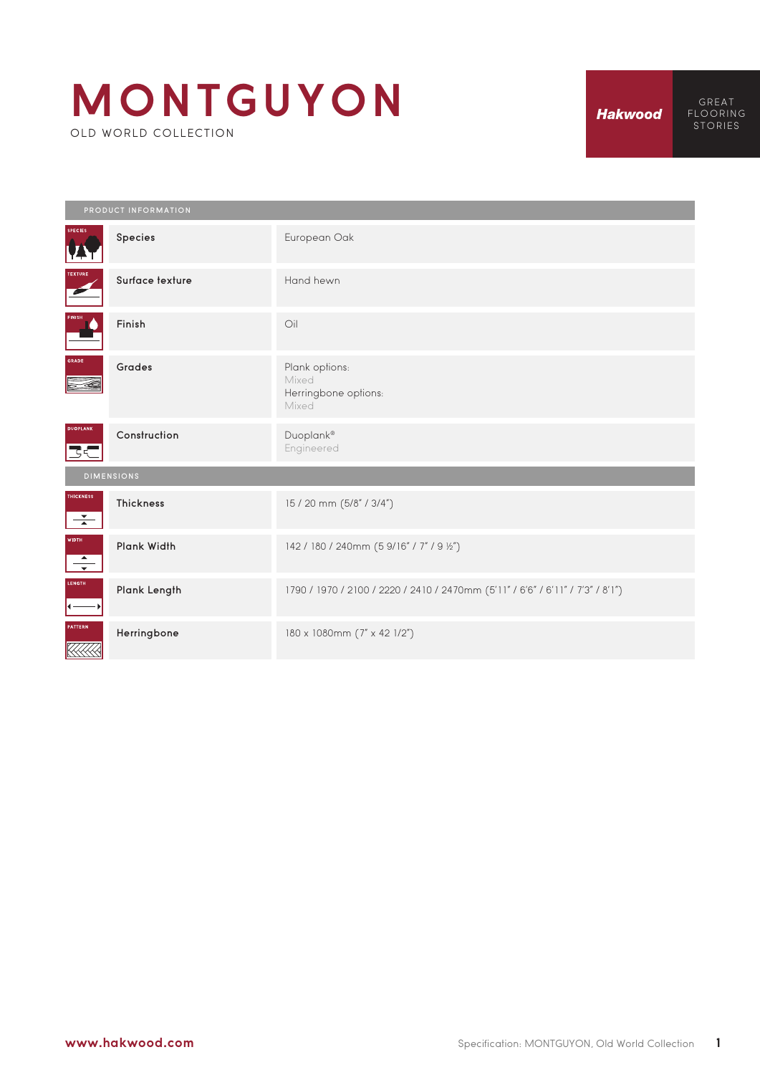## **MONTGUYON** OLD WORLD COLLECTION

**Hakwood** 

GREAT FLOORING STORIES

|                                              | PRODUCT INFORMATION |                                                                                |  |  |
|----------------------------------------------|---------------------|--------------------------------------------------------------------------------|--|--|
| <b>SPECIES</b><br><u>V.</u>                  | Species             | European Oak                                                                   |  |  |
| TEXTURE                                      | Surface texture     | Hand hewn                                                                      |  |  |
| FINISH<br><b>Andrew Street</b>               | Finish              | Oil                                                                            |  |  |
| GRADE                                        | <b>Grades</b>       | Plank options:<br>Mixed<br>Herringbone options:<br>Mixed                       |  |  |
| <b>DUOPLANK</b><br>こく                        | Construction        | Duoplank®<br>Engineered                                                        |  |  |
|                                              | <b>DIMENSIONS</b>   |                                                                                |  |  |
| <b>THICKNESS</b><br>$\frac{1}{\sqrt{2}}$     | <b>Thickness</b>    | 15 / 20 mm (5/8" / 3/4")                                                       |  |  |
| <b>WIDTH</b><br>$\frac{1}{\sqrt{2}}$         | Plank Width         | 142 / 180 / 240mm (5 9/16" / 7" / 9 ½")                                        |  |  |
| LENGTH                                       | Plank Length        | 1790 / 1970 / 2100 / 2220 / 2410 / 2470mm (5'11" / 6'6" / 6'11" / 7'3" / 8'1") |  |  |
| <b>PATTERN</b><br>$\ll\!\!\ll\!\!\ll\!\!\ll$ | Herringbone         | 180 x 1080mm (7" x 42 1/2")                                                    |  |  |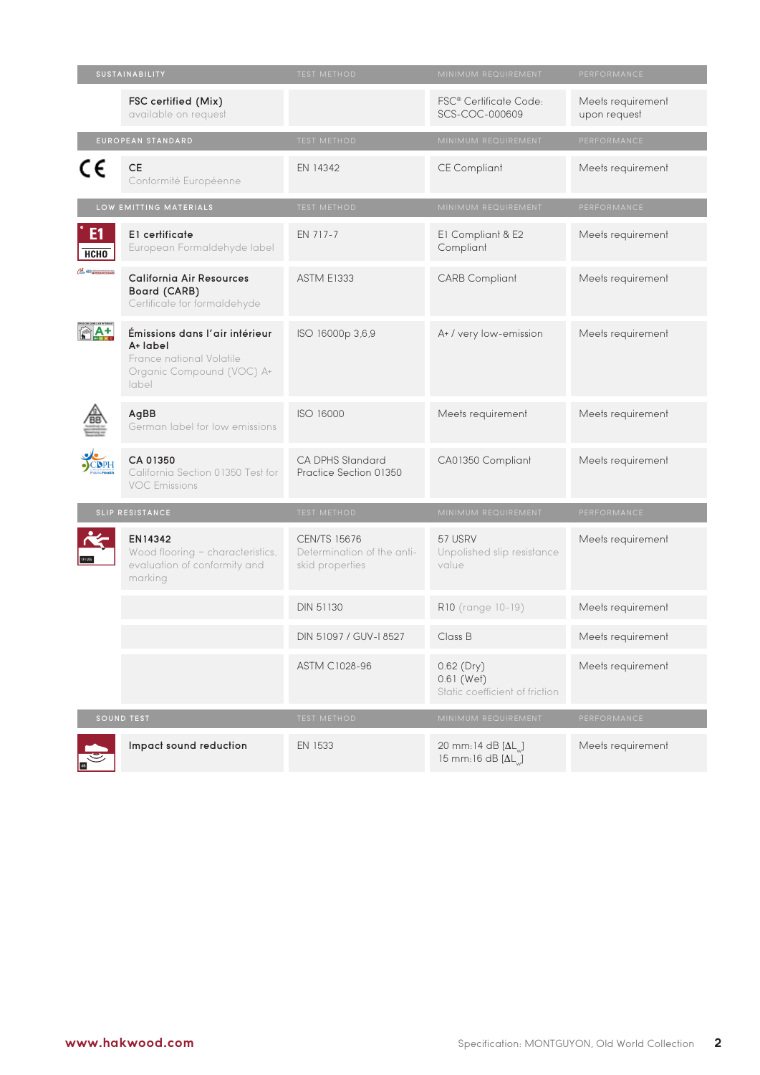| SUSTAINABILITY            |                                                                                                              | <b>TEST METHOD</b>                                                   | MINIMUM REQUIREMENT                                                  | PERFORMANCE                       |
|---------------------------|--------------------------------------------------------------------------------------------------------------|----------------------------------------------------------------------|----------------------------------------------------------------------|-----------------------------------|
|                           | FSC certified (Mix)<br>available on request                                                                  |                                                                      | FSC <sup>®</sup> Certificate Code:<br>SCS-COC-000609                 | Meets requirement<br>upon request |
|                           | EUROPEAN STANDARD                                                                                            | TEST METHOD                                                          | MINIMUM REQUIREMENT                                                  | PERFORMANCE                       |
| C€                        | <b>CE</b><br>Conformité Européenne                                                                           | EN 14342                                                             | <b>CE Compliant</b>                                                  | Meets requirement                 |
| LOW EMITTING MATERIALS    |                                                                                                              | <b>TEST METHOD</b>                                                   | MINIMUM REQUIREMENT                                                  | PERFORMANCE                       |
| E1<br><b>НСНО</b>         | E1 certificate<br>European Formaldehyde label                                                                | EN 717-7                                                             | E1 Compliant & E2<br>Compliant                                       | Meets requirement                 |
| CON E AR RESOURCES FOR FO | <b>California Air Resources</b><br>Board (CARB)<br>Certificate for formaldehyde                              | <b>ASTM E1333</b>                                                    | <b>CARB Compliant</b>                                                | Meets requirement                 |
|                           | Émissions dans l'air intérieur<br>A+ label<br>France national Volatile<br>Organic Compound (VOC) A+<br>label | ISO 16000p 3,6,9                                                     | A+ / very low-emission                                               | Meets requirement                 |
|                           | AgBB<br>German label for low emissions                                                                       | ISO 16000                                                            | Meets requirement                                                    | Meets requirement                 |
|                           | CA 01350<br>California Section 01350 Test for<br><b>VOC Emissions</b>                                        | CA DPHS Standard<br>Practice Section 01350                           | CA01350 Compliant                                                    | Meets requirement                 |
|                           | SLIP RESISTANCE                                                                                              | <b>TEST METHOD</b>                                                   | MINIMUM REQUIREMENT                                                  | PERFORMANCE                       |
|                           | EN14342<br>Wood flooring - characteristics,<br>evaluation of conformity and<br>marking                       | <b>CEN/TS 15676</b><br>Determination of the anti-<br>skid properties | 57 USRV<br>Unpolished slip resistance<br>value                       | Meets requirement                 |
|                           |                                                                                                              | <b>DIN 51130</b>                                                     | R10 (range 10-19)                                                    | Meets requirement                 |
|                           |                                                                                                              | DIN 51097 / GUV-I 8527                                               | Class B                                                              | Meets requirement                 |
|                           |                                                                                                              | ASTM C1028-96                                                        | $0.62$ (Dry)<br>0.61 (Wet)<br>Static coefficient of friction         | Meets requirement                 |
|                           | <b>SOUND TEST</b>                                                                                            | <b>TEST METHOD</b>                                                   | MINIMUM REQUIREMENT                                                  | PERFORMANCE                       |
|                           | Impact sound reduction                                                                                       | EN 1533                                                              | 20 mm:14 dB $[\Delta L_{\mu}]$<br>15 mm: 16 dB $[\Delta L_{\omega}]$ | Meets requirement                 |